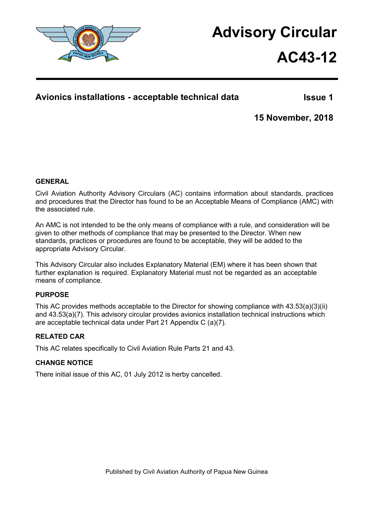

# **Advisory Circular**

# **AC43-12**

### **Avionics installations - acceptable technical data**

**Issue 1**

**15 November, 2018**

#### **GENERAL**

Civil Aviation Authority Advisory Circulars (AC) contains information about standards, practices and procedures that the Director has found to be an Acceptable Means of Compliance (AMC) with the associated rule.

An AMC is not intended to be the only means of compliance with a rule, and consideration will be given to other methods of compliance that may be presented to the Director. When new standards, practices or procedures are found to be acceptable, they will be added to the appropriate Advisory Circular.

This Advisory Circular also includes Explanatory Material (EM) where it has been shown that further explanation is required. Explanatory Material must not be regarded as an acceptable means of compliance.

#### **PURPOSE**

This AC provides methods acceptable to the Director for showing compliance with 43.53(a)(3)(ii) and 43.53(a)(7). This advisory circular provides avionics installation technical instructions which are acceptable technical data under Part 21 Appendix C (a)(7).

#### **RELATED CAR**

This AC relates specifically to Civil Aviation Rule Parts 21 and 43.

#### **CHANGE NOTICE**

There initial issue of this AC, 01 July 2012 is herby cancelled.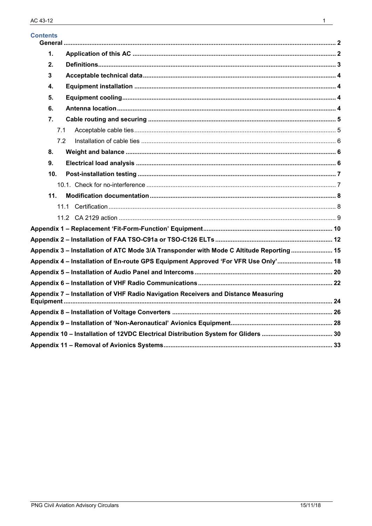| <b>Contents</b> |                                                                                          |  |
|-----------------|------------------------------------------------------------------------------------------|--|
| 1.              |                                                                                          |  |
| 2.              |                                                                                          |  |
| 3               |                                                                                          |  |
| 4.              |                                                                                          |  |
| 5.              |                                                                                          |  |
| 6.              |                                                                                          |  |
| 7 <sub>1</sub>  |                                                                                          |  |
| 7.1             |                                                                                          |  |
| 7.2             |                                                                                          |  |
| 8.              |                                                                                          |  |
| 9.              |                                                                                          |  |
| 10.             |                                                                                          |  |
|                 |                                                                                          |  |
| 11.             |                                                                                          |  |
|                 | 11.1                                                                                     |  |
|                 |                                                                                          |  |
|                 |                                                                                          |  |
|                 |                                                                                          |  |
|                 | Appendix 3 - Installation of ATC Mode 3/A Transponder with Mode C Altitude Reporting  15 |  |
|                 | Appendix 4 - Installation of En-route GPS Equipment Approved 'For VFR Use Only' 18       |  |
|                 |                                                                                          |  |
|                 |                                                                                          |  |
|                 | Appendix 7 - Installation of VHF Radio Navigation Receivers and Distance Measuring       |  |
|                 |                                                                                          |  |
|                 |                                                                                          |  |
|                 |                                                                                          |  |
|                 |                                                                                          |  |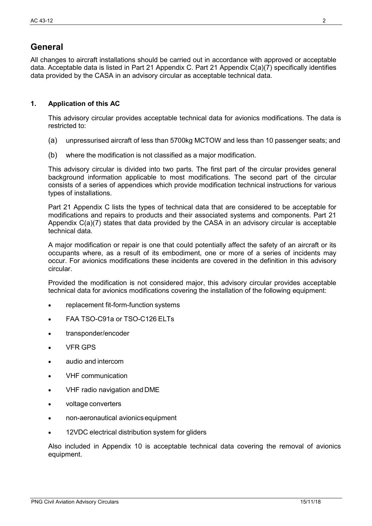# <span id="page-2-0"></span>**General**

All changes to aircraft installations should be carried out in accordance with approved or acceptable data. Acceptable data is listed in Part 21 Appendix C. Part 21 Appendix C(a)(7) specifically identifies data provided by the CASA in an advisory circular as acceptable technical data.

#### <span id="page-2-1"></span>**1. Application of this AC**

This advisory circular provides acceptable technical data for avionics modifications. The data is restricted to:

- (a) unpressurised aircraft of less than 5700kg MCTOW and less than 10 passenger seats; and
- (b) where the modification is not classified as a major modification.

This advisory circular is divided into two parts. The first part of the circular provides general background information applicable to most modifications. The second part of the circular consists of a series of appendices which provide modification technical instructions for various types of installations.

Part 21 Appendix C lists the types of technical data that are considered to be acceptable for modifications and repairs to products and their associated systems and components. Part 21 Appendix C(a)(7) states that data provided by the CASA in an advisory circular is acceptable technical data.

A major modification or repair is one that could potentially affect the safety of an aircraft or its occupants where, as a result of its embodiment, one or more of a series of incidents may occur. For avionics modifications these incidents are covered in the definition in this advisory circular.

Provided the modification is not considered major, this advisory circular provides acceptable technical data for avionics modifications covering the installation of the following equipment:

- replacement fit-form-function systems
- FAA TSO-C91a or TSO-C126 ELTs
- transponder/encoder
- VFR GPS
- audio and intercom
- VHF communication
- VHF radio navigation andDME
- voltage converters
- non-aeronautical avionicsequipment
- 12VDC electrical distribution system for gliders

Also included in Appendix 10 is acceptable technical data covering the removal of avionics equipment.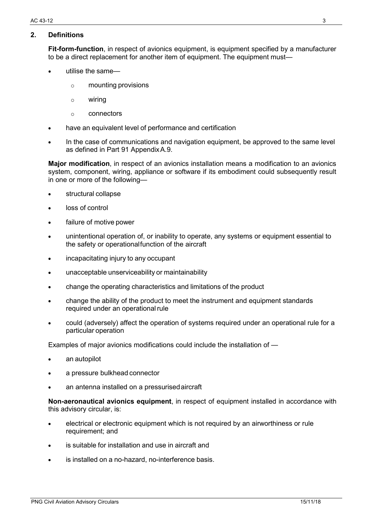#### <span id="page-3-0"></span>**2. Definitions**

**Fit-form-function**, in respect of avionics equipment, is equipment specified by a manufacturer to be a direct replacement for another item of equipment. The equipment must—

- utilise the same
	- o mounting provisions
	- o wiring
	- o connectors
- have an equivalent level of performance and certification
- In the case of communications and navigation equipment, be approved to the same level as defined in Part 91 AppendixA.9.

**Major modification**, in respect of an avionics installation means a modification to an avionics system, component, wiring, appliance or software if its embodiment could subsequently result in one or more of the following—

- structural collapse
- loss of control
- failure of motive power
- unintentional operation of, or inability to operate, any systems or equipment essential to the safety or operationalfunction of the aircraft
- incapacitating injury to any occupant
- unacceptable unserviceability or maintainability
- change the operating characteristics and limitations of the product
- change the ability of the product to meet the instrument and equipment standards required under an operational rule
- could (adversely) affect the operation of systems required under an operational rule for a particular operation

Examples of major avionics modifications could include the installation of —

- an autopilot
- a pressure bulkhead connector
- an antenna installed on a pressurised aircraft

**Non-aeronautical avionics equipment**, in respect of equipment installed in accordance with this advisory circular, is:

- electrical or electronic equipment which is not required by an airworthiness or rule requirement; and
- is suitable for installation and use in aircraft and
- is installed on a no-hazard, no-interference basis.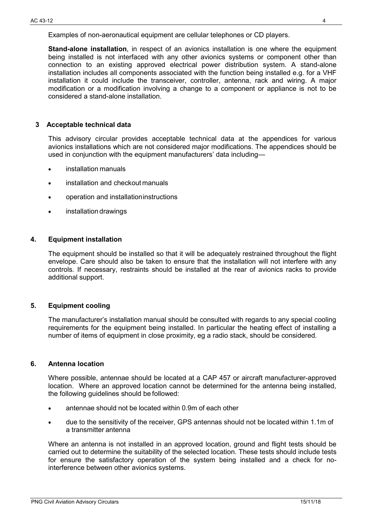**Stand-alone installation**, in respect of an avionics installation is one where the equipment being installed is not interfaced with any other avionics systems or component other than connection to an existing approved electrical power distribution system. A stand-alone installation includes all components associated with the function being installed e.g. for a VHF installation it could include the transceiver, controller, antenna, rack and wiring. A major modification or a modification involving a change to a component or appliance is not to be considered a stand-alone installation.

#### <span id="page-4-0"></span>**3 Acceptable technical data**

This advisory circular provides acceptable technical data at the appendices for various avionics installations which are not considered major modifications. The appendices should be used in conjunction with the equipment manufacturers' data including—

- installation manuals
- installation and checkout manuals
- operation and installationinstructions
- installation drawings

#### <span id="page-4-1"></span>**4. Equipment installation**

The equipment should be installed so that it will be adequately restrained throughout the flight envelope. Care should also be taken to ensure that the installation will not interfere with any controls. If necessary, restraints should be installed at the rear of avionics racks to provide additional support.

#### <span id="page-4-2"></span>**5. Equipment cooling**

The manufacturer's installation manual should be consulted with regards to any special cooling requirements for the equipment being installed. In particular the heating effect of installing a number of items of equipment in close proximity, eg a radio stack, should be considered.

#### <span id="page-4-3"></span>**6. Antenna location**

Where possible, antennae should be located at a CAP 457 or aircraft manufacturer-approved location. Where an approved location cannot be determined for the antenna being installed, the following guidelines should be followed:

- antennae should not be located within 0.9m of each other
- due to the sensitivity of the receiver, GPS antennas should not be located within 1.1m of a transmitter antenna

Where an antenna is not installed in an approved location, ground and flight tests should be carried out to determine the suitability of the selected location. These tests should include tests for ensure the satisfactory operation of the system being installed and a check for nointerference between other avionics systems.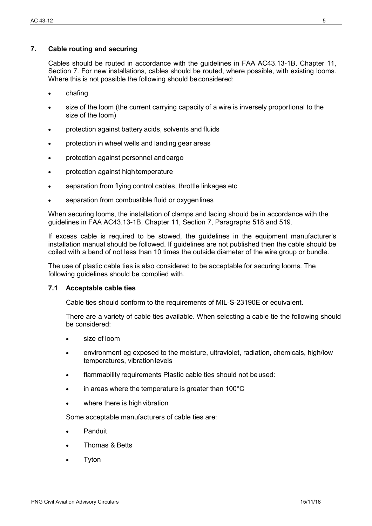#### <span id="page-5-0"></span>**7. Cable routing and securing**

Cables should be routed in accordance with the guidelines in FAA AC43.13-1B, Chapter 11, Section 7. For new installations, cables should be routed, where possible, with existing looms. Where this is not possible the following should be considered:

- chafing
- size of the loom (the current carrying capacity of a wire is inversely proportional to the size of the loom)
- protection against battery acids, solvents and fluids
- protection in wheel wells and landing gear areas
- protection against personnel andcargo
- protection against high temperature
- separation from flying control cables, throttle linkages etc
- separation from combustible fluid or oxygen lines

When securing looms, the installation of clamps and lacing should be in accordance with the guidelines in FAA AC43.13-1B, Chapter 11, Section 7, Paragraphs 518 and 519.

If excess cable is required to be stowed, the guidelines in the equipment manufacturer's installation manual should be followed. If guidelines are not published then the cable should be coiled with a bend of not less than 10 times the outside diameter of the wire group or bundle.

The use of plastic cable ties is also considered to be acceptable for securing looms. The following guidelines should be complied with.

#### <span id="page-5-1"></span>**7.1 Acceptable cable ties**

Cable ties should conform to the requirements of MIL-S-23190E or equivalent.

There are a variety of cable ties available. When selecting a cable tie the following should be considered:

- size of loom
- environment eg exposed to the moisture, ultraviolet, radiation, chemicals, high/low temperatures, vibration levels
- flammability requirements Plastic cable ties should not beused:
- in areas where the temperature is greater than  $100^{\circ}$ C
- where there is high vibration

Some acceptable manufacturers of cable ties are:

- Panduit
- Thomas & Betts
- **Tyton**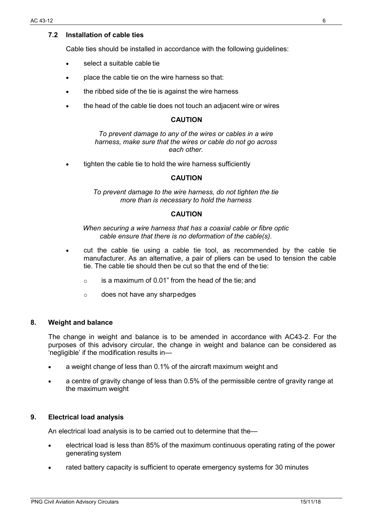#### <span id="page-6-0"></span>**7.2 Installation of cable ties**

Cable ties should be installed in accordance with the following guidelines:

- select a suitable cable tie
- place the cable tie on the wire harness so that:
- the ribbed side of the tie is against the wire harness
- the head of the cable tie does not touch an adjacent wire or wires

#### **CAUTION**

*To prevent damage to any of the wires or cables in a wire harness, make sure that the wires or cable do not go across each other.*

tighten the cable tie to hold the wire harness sufficiently

#### **CAUTION**

*To prevent damage to the wire harness, do not tighten the tie more than is necessary to hold the harness*

#### **CAUTION**

*When securing a wire harness that has a coaxial cable or fibre optic cable ensure that there is no deformation of the cable(s).*

- cut the cable tie using a cable tie tool, as recommended by the cable tie manufacturer. As an alternative, a pair of pliers can be used to tension the cable tie. The cable tie should then be cut so that the end of the tie:
	- $\circ$  is a maximum of 0.01" from the head of the tie; and
	- o does not have any sharpedges

#### <span id="page-6-1"></span>**8. Weight and balance**

The change in weight and balance is to be amended in accordance with AC43-2. For the purposes of this advisory circular, the change in weight and balance can be considered as 'negligible' if the modification results in—

- a weight change of less than 0.1% of the aircraft maximum weight and
- a centre of gravity change of less than 0.5% of the permissible centre of gravity range at the maximum weight

#### <span id="page-6-2"></span>**9. Electrical load analysis**

An electrical load analysis is to be carried out to determine that the—

- electrical load is less than 85% of the maximum continuous operating rating of the power generating system
- rated battery capacity is sufficient to operate emergency systems for 30 minutes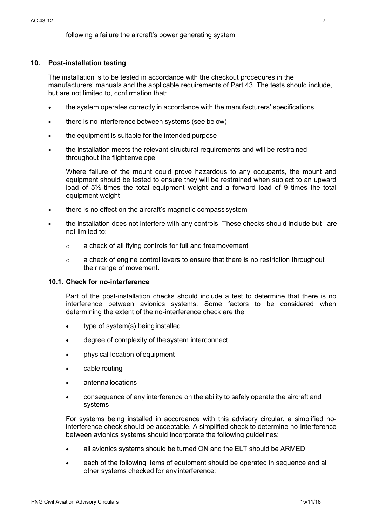#### following a failure the aircraft's power generating system

#### <span id="page-7-0"></span>**10. Post-installation testing**

The installation is to be tested in accordance with the checkout procedures in the manufacturers' manuals and the applicable requirements of Part 43. The tests should include, but are not limited to, confirmation that:

- the system operates correctly in accordance with the manufacturers' specifications
- there is no interference between systems (see below)
- the equipment is suitable for the intended purpose
- the installation meets the relevant structural requirements and will be restrained throughout the flightenvelope

Where failure of the mount could prove hazardous to any occupants, the mount and equipment should be tested to ensure they will be restrained when subject to an upward load of  $5\frac{1}{2}$  times the total equipment weight and a forward load of 9 times the total equipment weight

- there is no effect on the aircraft's magnetic compass system
- the installation does not interfere with any controls. These checks should include but are not limited to:
	- o a check of all flying controls for full and freemovement
	- o a check of engine control levers to ensure that there is no restriction throughout their range of movement.

#### <span id="page-7-1"></span>**10.1. Check for no-interference**

Part of the post-installation checks should include a test to determine that there is no interference between avionics systems. Some factors to be considered when determining the extent of the no-interference check are the:

- type of system(s) being installed
- degree of complexity of thesystem interconnect
- physical location of equipment
- cable routing
- antenna locations
- consequence of any interference on the ability to safely operate the aircraft and systems

For systems being installed in accordance with this advisory circular, a simplified nointerference check should be acceptable. A simplified check to determine no-interference between avionics systems should incorporate the following guidelines:

- all avionics systems should be turned ON and the ELT should be ARMED
- each of the following items of equipment should be operated in sequence and all other systems checked for any interference: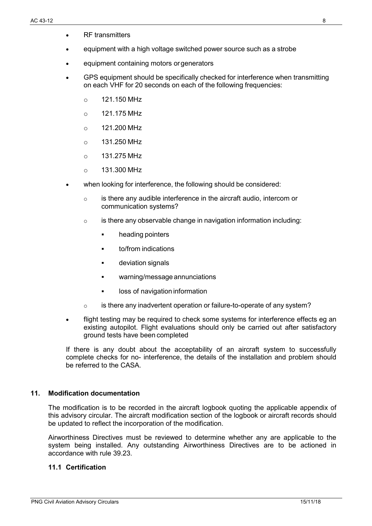- equipment with a high voltage switched power source such as a strobe
- equipment containing motors orgenerators
- GPS equipment should be specifically checked for interference when transmitting on each VHF for 20 seconds on each of the following frequencies:
	- $\circ$  121.150 MHz
	- $\circ$  121.175 MHz
	- $\circ$  121.200 MHz
	- $\circ$  131.250 MHz
	- $\circ$  131.275 MHz
	- o 131.300 MHz
- when looking for interference, the following should be considered:
	- $\circ$  is there any audible interference in the aircraft audio, intercom or communication systems?
	- $\circ$  is there any observable change in navigation information including:
		- heading pointers
		- to/from indications
		- deviation signals
		- warning/message annunciations
		- loss of navigation information
	- $\circ$  is there any inadvertent operation or failure-to-operate of any system?
- flight testing may be required to check some systems for interference effects eg an existing autopilot. Flight evaluations should only be carried out after satisfactory ground tests have been completed

If there is any doubt about the acceptability of an aircraft system to successfully complete checks for no- interference, the details of the installation and problem should be referred to the CASA.

#### <span id="page-8-0"></span>**11. Modification documentation**

The modification is to be recorded in the aircraft logbook quoting the applicable appendix of this advisory circular. The aircraft modification section of the logbook or aircraft records should be updated to reflect the incorporation of the modification.

Airworthiness Directives must be reviewed to determine whether any are applicable to the system being installed. Any outstanding Airworthiness Directives are to be actioned in accordance with rule 39.23.

#### <span id="page-8-1"></span>**11.1 Certification**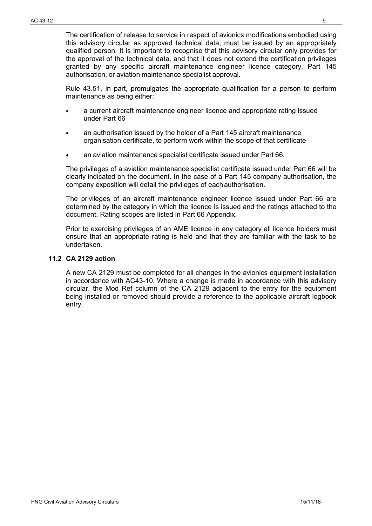The certification of release to service in respect of avionics modifications embodied using this advisory circular as approved technical data, must be issued by an appropriately qualified person. It is important to recognise that this advisory circular only provides for the approval of the technical data, and that it does not extend the certification privileges granted by any specific aircraft maintenance engineer licence category, Part 145 authorisation, or aviation maintenance specialist approval.

Rule 43.51, in part, promulgates the appropriate qualification for a person to perform maintenance as being either:

- a current aircraft maintenance engineer licence and appropriate rating issued under Part 66
- an authorisation issued by the holder of a Part 145 aircraft maintenance organisation certificate, to perform work within the scope of that certificate
- an aviation maintenance specialist certificate issued under Part 66.

The privileges of a aviation maintenance specialist certificate issued under Part 66 will be clearly indicated on the document. In the case of a Part 145 company authorisation, the company exposition will detail the privileges of eachauthorisation.

The privileges of an aircraft maintenance engineer licence issued under Part 66 are determined by the category in which the licence is issued and the ratings attached to the document. Rating scopes are listed in Part 66 Appendix.

Prior to exercising privileges of an AME licence in any category all licence holders must ensure that an appropriate rating is held and that they are familiar with the task to be undertaken.

#### <span id="page-9-0"></span>**11.2 CA 2129 action**

A new CA 2129 must be completed for all changes in the avionics equipment installation in accordance with AC43-10. Where a change is made in accordance with this advisory circular, the Mod Ref column of the CA 2129 adjacent to the entry for the equipment being installed or removed should provide a reference to the applicable aircraft logbook entry.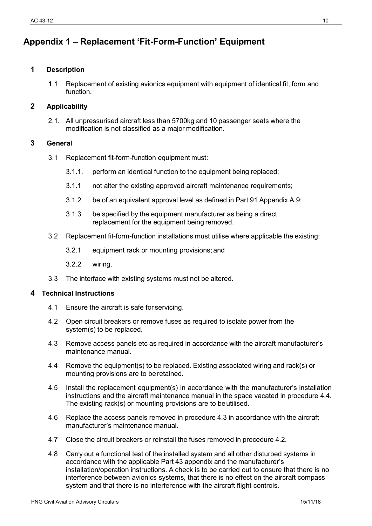# <span id="page-10-0"></span>**Appendix 1 – Replacement 'Fit-Form-Function' Equipment**

#### **1 Description**

1.1 Replacement of existing avionics equipment with equipment of identical fit, form and function.

#### **2 Applicability**

2.1. All unpressurised aircraft less than 5700kg and 10 passenger seats where the modification is not classified as a major modification.

#### **3 General**

- 3.1 Replacement fit-form-function equipment must:
	- 3.1.1. perform an identical function to the equipment being replaced;
	- 3.1.1 not alter the existing approved aircraft maintenance requirements;
	- 3.1.2 be of an equivalent approval level as defined in Part 91 Appendix A.9;
	- 3.1.3 be specified by the equipment manufacturer as being a direct replacement for the equipment being removed.
- 3.2 Replacement fit-form-function installations must utilise where applicable the existing:
	- 3.2.1 equipment rack or mounting provisions; and
	- 3.2.2 wiring.
- 3.3 The interface with existing systems must not be altered.

- 4.1 Ensure the aircraft is safe for servicing.
- 4.2 Open circuit breakers or remove fuses as required to isolate power from the system(s) to be replaced.
- 4.3 Remove access panels etc as required in accordance with the aircraft manufacturer's maintenance manual.
- 4.4 Remove the equipment(s) to be replaced. Existing associated wiring and rack(s) or mounting provisions are to beretained.
- 4.5 Install the replacement equipment(s) in accordance with the manufacturer's installation instructions and the aircraft maintenance manual in the space vacated in procedure 4.4. The existing rack(s) or mounting provisions are to beutilised.
- 4.6 Replace the access panels removed in procedure 4.3 in accordance with the aircraft manufacturer's maintenance manual.
- 4.7 Close the circuit breakers or reinstall the fuses removed in procedure 4.2.
- 4.8 Carry out a functional test of the installed system and all other disturbed systems in accordance with the applicable Part 43 appendix and the manufacturer's installation/operation instructions. A check is to be carried out to ensure that there is no interference between avionics systems, that there is no effect on the aircraft compass system and that there is no interference with the aircraft flight controls.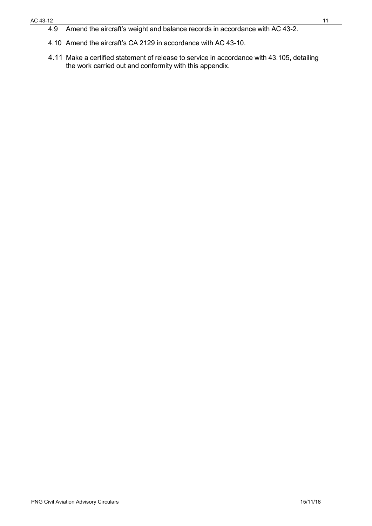4.9 Amend the aircraft's weight and balance records in accordance with AC 43-2.

4.11 Make a certified statement of release to service in accordance with 43.105, detailing the work carried out and conformity with this appendix.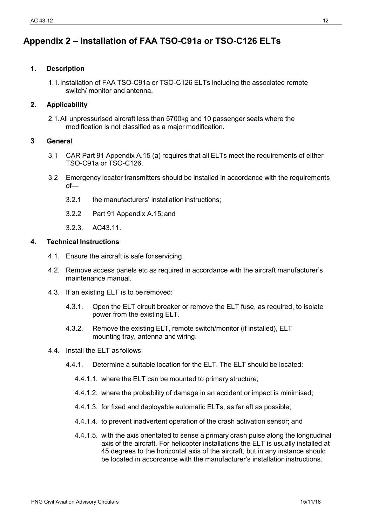# <span id="page-12-0"></span>**Appendix 2 – Installation of FAA TSO-C91a or TSO-C126 ELTs**

#### **1. Description**

1.1.Installation of FAA TSO-C91a or TSO-C126 ELTs including the associated remote switch/ monitor and antenna.

#### **2. Applicability**

2.1.All unpressurised aircraft less than 5700kg and 10 passenger seats where the modification is not classified as a major modification.

#### **3 General**

- 3.1 CAR Part 91 Appendix A.15 (a) requires that all ELTs meet the requirements of either TSO-C91a or TSO-C126.
- 3.2 Emergency locator transmitters should be installed in accordance with the requirements of—
	- 3.2.1 the manufacturers' installation instructions:
	- 3.2.2 Part 91 Appendix A.15; and
	- 3.2.3. AC43.11.

#### **4. Technical Instructions**

- 4.1. Ensure the aircraft is safe for servicing.
- 4.2. Remove access panels etc as required in accordance with the aircraft manufacturer's maintenance manual.
- 4.3. If an existing ELT is to be removed:
	- 4.3.1. Open the ELT circuit breaker or remove the ELT fuse, as required, to isolate power from the existing ELT.
	- 4.3.2. Remove the existing ELT, remote switch/monitor (if installed), ELT mounting tray, antenna and wiring.

#### 4.4. Install the ELT as follows:

- 4.4.1. Determine a suitable location for the ELT. The ELT should be located:
	- 4.4.1.1. where the ELT can be mounted to primary structure;
	- 4.4.1.2. where the probability of damage in an accident or impact is minimised;
	- 4.4.1.3. for fixed and deployable automatic ELTs, as far aft as possible;
	- 4.4.1.4. to prevent inadvertent operation of the crash activation sensor; and
	- 4.4.1.5. with the axis orientated to sense a primary crash pulse along the longitudinal axis of the aircraft. For helicopter installations the ELT is usually installed at 45 degrees to the horizontal axis of the aircraft, but in any instance should be located in accordance with the manufacturer's installationinstructions.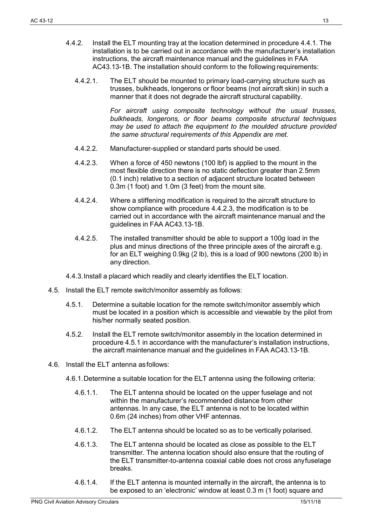- 4.4.2. Install the ELT mounting tray at the location determined in procedure 4.4.1. The installation is to be carried out in accordance with the manufacturer's installation instructions, the aircraft maintenance manual and the guidelines in FAA AC43.13-1B. The installation should conform to the following requirements:
	- 4.4.2.1. The ELT should be mounted to primary load-carrying structure such as trusses, bulkheads, longerons or floor beams (not aircraft skin) in such a manner that it does not degrade the aircraft structural capability.

*For aircraft using composite technology without the usual trusses, bulkheads, longerons, or floor beams composite structural techniques may be used to attach the equipment to the moulded structure provided the same structural requirements of this Appendix are met.*

- 4.4.2.2. Manufacturer-supplied or standard parts should be used.
- 4.4.2.3. When a force of 450 newtons (100 lbf) is applied to the mount in the most flexible direction there is no static deflection greater than 2.5mm (0.1 inch) relative to a section of adjacent structure located between 0.3m (1 foot) and 1.0m (3 feet) from the mount site.
- 4.4.2.4. Where a stiffening modification is required to the aircraft structure to show compliance with procedure 4.4.2.3, the modification is to be carried out in accordance with the aircraft maintenance manual and the guidelines in FAA AC43.13-1B.
- 4.4.2.5. The installed transmitter should be able to support a 100g load in the plus and minus directions of the three principle axes of the aircraft e.g. for an ELT weighing 0.9kg (2 lb), this is a load of 900 newtons (200 lb) in any direction.
- 4.4.3.Install a placard which readily and clearly identifies the ELT location.
- 4.5. Install the ELT remote switch/monitor assembly as follows:
	- 4.5.1. Determine a suitable location for the remote switch/monitor assembly which must be located in a position which is accessible and viewable by the pilot from his/her normally seated position.
	- 4.5.2. Install the ELT remote switch/monitor assembly in the location determined in procedure 4.5.1 in accordance with the manufacturer's installation instructions, the aircraft maintenance manual and the guidelines in FAA AC43.13-1B.
- 4.6. Install the ELT antenna asfollows:
	- 4.6.1.Determine a suitable location for the ELT antenna using the following criteria:
		- 4.6.1.1. The ELT antenna should be located on the upper fuselage and not within the manufacturer's recommended distance from other antennas. In any case, the ELT antenna is not to be located within 0.6m (24 inches) from other VHF antennas.
		- 4.6.1.2. The ELT antenna should be located so as to be vertically polarised.
		- 4.6.1.3. The ELT antenna should be located as close as possible to the ELT transmitter. The antenna location should also ensure that the routing of the ELT transmitter-to-antenna coaxial cable does not cross anyfuselage breaks.
		- 4.6.1.4. If the ELT antenna is mounted internally in the aircraft, the antenna is to be exposed to an 'electronic' window at least 0.3 m (1 foot) square and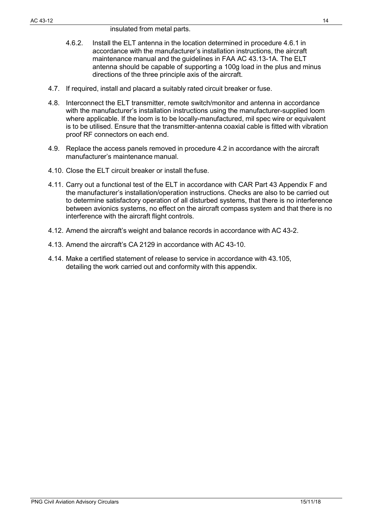- 4.6.2. Install the ELT antenna in the location determined in procedure 4.6.1 in accordance with the manufacturer's installation instructions, the aircraft maintenance manual and the guidelines in FAA AC 43.13-1A. The ELT antenna should be capable of supporting a 100g load in the plus and minus directions of the three principle axis of the aircraft.
- 4.7. If required, install and placard a suitably rated circuit breaker or fuse.
- 4.8. Interconnect the ELT transmitter, remote switch/monitor and antenna in accordance with the manufacturer's installation instructions using the manufacturer-supplied loom where applicable. If the loom is to be locally-manufactured, mil spec wire or equivalent is to be utilised. Ensure that the transmitter-antenna coaxial cable is fitted with vibration proof RF connectors on each end.
- 4.9. Replace the access panels removed in procedure 4.2 in accordance with the aircraft manufacturer's maintenance manual.
- 4.10. Close the ELT circuit breaker or install thefuse.
- 4.11. Carry out a functional test of the ELT in accordance with CAR Part 43 Appendix F and the manufacturer's installation/operation instructions. Checks are also to be carried out to determine satisfactory operation of all disturbed systems, that there is no interference between avionics systems, no effect on the aircraft compass system and that there is no interference with the aircraft flight controls.
- 4.12. Amend the aircraft's weight and balance records in accordance with AC 43-2.
- 4.13. Amend the aircraft's CA 2129 in accordance with AC 43-10.
- 4.14. Make a certified statement of release to service in accordance with 43.105, detailing the work carried out and conformity with this appendix.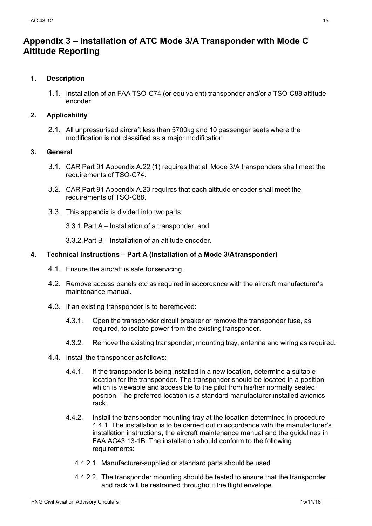## <span id="page-15-0"></span>**Appendix 3 – Installation of ATC Mode 3/A Transponder with Mode C Altitude Reporting**

#### **1. Description**

1.1. Installation of an FAA TSO-C74 (or equivalent) transponder and/or a TSO-C88 altitude encoder.

#### **2. Applicability**

2.1. All unpressurised aircraft less than 5700kg and 10 passenger seats where the modification is not classified as a major modification.

#### **3. General**

- 3.1. CAR Part 91 Appendix A.22 (1) requires that all Mode 3/A transponders shall meet the requirements of TSO-C74.
- 3.2. CAR Part 91 Appendix A.23 requires that each altitude encoder shall meet the requirements of TSO-C88.
- 3.3. This appendix is divided into twoparts:
	- 3.3.1.Part A Installation of a transponder; and
	- 3.3.2.Part B Installation of an altitude encoder.

#### **4. Technical Instructions – Part A (Installation of a Mode 3/Atransponder)**

- 4.1. Ensure the aircraft is safe for servicing.
- 4.2. Remove access panels etc as required in accordance with the aircraft manufacturer's maintenance manual.
- 4.3. If an existing transponder is to beremoved:
	- 4.3.1. Open the transponder circuit breaker or remove the transponder fuse, as required, to isolate power from the existing transponder.
	- 4.3.2. Remove the existing transponder, mounting tray, antenna and wiring as required.
- 4.4. Install the transponder asfollows:
	- 4.4.1. If the transponder is being installed in a new location, determine a suitable location for the transponder. The transponder should be located in a position which is viewable and accessible to the pilot from his/her normally seated position. The preferred location is a standard manufacturer-installed avionics rack.
	- 4.4.2. Install the transponder mounting tray at the location determined in procedure 4.4.1. The installation is to be carried out in accordance with the manufacturer's installation instructions, the aircraft maintenance manual and the guidelines in FAA AC43.13-1B. The installation should conform to the following requirements:
		- 4.4.2.1. Manufacturer-supplied or standard parts should be used.
		- 4.4.2.2. The transponder mounting should be tested to ensure that the transponder and rack will be restrained throughout the flight envelope.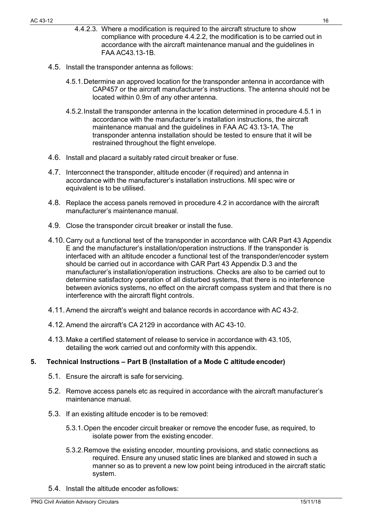- 4.4.2.3. Where a modification is required to the aircraft structure to show compliance with procedure 4.4.2.2, the modification is to be carried out in accordance with the aircraft maintenance manual and the guidelines in FAA AC43.13-1B.
- 4.5. Install the transponder antenna as follows:
	- 4.5.1.Determine an approved location for the transponder antenna in accordance with CAP457 or the aircraft manufacturer's instructions. The antenna should not be located within 0.9m of any other antenna.
	- 4.5.2.Install the transponder antenna in the location determined in procedure 4.5.1 in accordance with the manufacturer's installation instructions, the aircraft maintenance manual and the guidelines in FAA AC 43.13-1A. The transponder antenna installation should be tested to ensure that it will be restrained throughout the flight envelope.
- 4.6. Install and placard a suitably rated circuit breaker or fuse.
- 4.7. Interconnect the transponder, altitude encoder (if required) and antenna in accordance with the manufacturer's installation instructions. Mil spec wire or equivalent is to be utilised.
- 4.8. Replace the access panels removed in procedure 4.2 in accordance with the aircraft manufacturer's maintenance manual.
- 4.9. Close the transponder circuit breaker or install the fuse.
- 4.10.Carry out a functional test of the transponder in accordance with CAR Part 43 Appendix E and the manufacturer's installation/operation instructions. If the transponder is interfaced with an altitude encoder a functional test of the transponder/encoder system should be carried out in accordance with CAR Part 43 Appendix D.3 and the manufacturer's installation/operation instructions. Checks are also to be carried out to determine satisfactory operation of all disturbed systems, that there is no interference between avionics systems, no effect on the aircraft compass system and that there is no interference with the aircraft flight controls.
- 4.11.Amend the aircraft's weight and balance records in accordance with AC 43-2.
- 4.12.Amend the aircraft's CA 2129 in accordance with AC 43-10.
- 4.13. Make a certified statement of release to service in accordance with 43.105, detailing the work carried out and conformity with this appendix.

#### **5. Technical Instructions – Part B (Installation of a Mode C altitude encoder)**

- 5.1. Ensure the aircraft is safe for servicing.
- 5.2. Remove access panels etc as required in accordance with the aircraft manufacturer's maintenance manual.
- 5.3. If an existing altitude encoder is to be removed:
	- 5.3.1.Open the encoder circuit breaker or remove the encoder fuse, as required, to isolate power from the existing encoder.
	- 5.3.2.Remove the existing encoder, mounting provisions, and static connections as required. Ensure any unused static lines are blanked and stowed in such a manner so as to prevent a new low point being introduced in the aircraft static system.
- 5.4. Install the altitude encoder asfollows: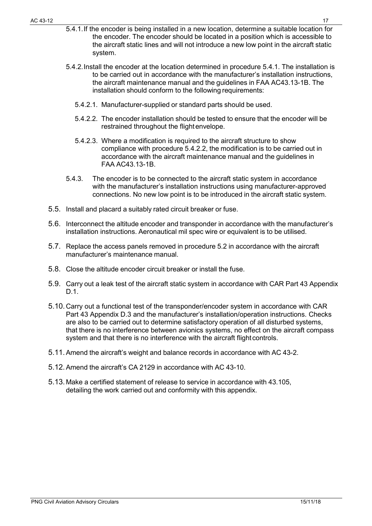- 5.4.1.If the encoder is being installed in a new location, determine a suitable location for the encoder. The encoder should be located in a position which is accessible to the aircraft static lines and will not introduce a new low point in the aircraft static system.
- 5.4.2.Install the encoder at the location determined in procedure 5.4.1. The installation is to be carried out in accordance with the manufacturer's installation instructions, the aircraft maintenance manual and the guidelines in FAA AC43.13-1B. The installation should conform to the following requirements:
	- 5.4.2.1. Manufacturer-supplied or standard parts should be used.
	- 5.4.2.2. The encoder installation should be tested to ensure that the encoder will be restrained throughout the flightenvelope.
	- 5.4.2.3. Where a modification is required to the aircraft structure to show compliance with procedure 5.4.2.2, the modification is to be carried out in accordance with the aircraft maintenance manual and the guidelines in FAA AC43.13-1B.
- 5.4.3. The encoder is to be connected to the aircraft static system in accordance with the manufacturer's installation instructions using manufacturer-approved connections. No new low point is to be introduced in the aircraft static system.
- 5.5. Install and placard a suitably rated circuit breaker or fuse.
- 5.6. Interconnect the altitude encoder and transponder in accordance with the manufacturer's installation instructions. Aeronautical mil spec wire or equivalent is to be utilised.
- 5.7. Replace the access panels removed in procedure 5.2 in accordance with the aircraft manufacturer's maintenance manual.
- 5.8. Close the altitude encoder circuit breaker or install the fuse.
- 5.9. Carry out a leak test of the aircraft static system in accordance with CAR Part 43 Appendix D.1.
- 5.10.Carry out a functional test of the transponder/encoder system in accordance with CAR Part 43 Appendix D.3 and the manufacturer's installation/operation instructions. Checks are also to be carried out to determine satisfactory operation of all disturbed systems, that there is no interference between avionics systems, no effect on the aircraft compass system and that there is no interference with the aircraft flight controls.
- 5.11.Amend the aircraft's weight and balance records in accordance with AC 43-2.
- 5.12.Amend the aircraft's CA 2129 in accordance with AC 43-10.
- 5.13. Make a certified statement of release to service in accordance with 43.105, detailing the work carried out and conformity with this appendix.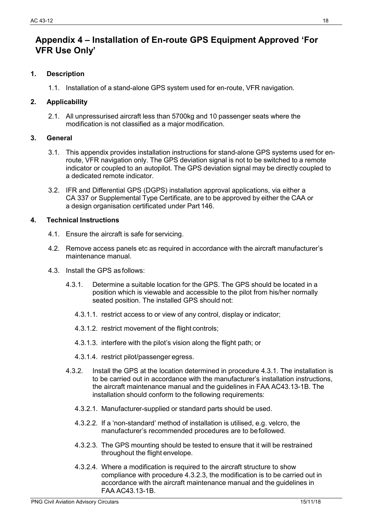## <span id="page-18-0"></span>**Appendix 4 – Installation of En-route GPS Equipment Approved 'For VFR Use Only'**

#### **1. Description**

1.1. Installation of a stand-alone GPS system used for en-route, VFR navigation.

#### **2. Applicability**

2.1. All unpressurised aircraft less than 5700kg and 10 passenger seats where the modification is not classified as a major modification.

#### **3. General**

- 3.1. This appendix provides installation instructions for stand-alone GPS systems used for enroute, VFR navigation only. The GPS deviation signal is not to be switched to a remote indicator or coupled to an autopilot. The GPS deviation signal may be directly coupled to a dedicated remote indicator.
- 3.2. IFR and Differential GPS (DGPS) installation approval applications, via either a CA 337 or Supplemental Type Certificate, are to be approved by either the CAA or a design organisation certificated under Part 146.

- 4.1. Ensure the aircraft is safe for servicing.
- 4.2. Remove access panels etc as required in accordance with the aircraft manufacturer's maintenance manual.
- 4.3. Install the GPS as follows:
	- 4.3.1. Determine a suitable location for the GPS. The GPS should be located in a position which is viewable and accessible to the pilot from his/her normally seated position. The installed GPS should not:
		- 4.3.1.1. restrict access to or view of any control, display or indicator;
		- 4.3.1.2. restrict movement of the flight controls;
		- 4.3.1.3. interfere with the pilot's vision along the flight path; or
		- 4.3.1.4. restrict pilot/passenger egress.
	- 4.3.2. Install the GPS at the location determined in procedure 4.3.1. The installation is to be carried out in accordance with the manufacturer's installation instructions, the aircraft maintenance manual and the guidelines in FAA AC43.13-1B. The installation should conform to the following requirements:
		- 4.3.2.1. Manufacturer-supplied or standard parts should be used.
		- 4.3.2.2. If a 'non-standard' method of installation is utilised, e.g. velcro, the manufacturer's recommended procedures are to befollowed.
		- 4.3.2.3. The GPS mounting should be tested to ensure that it will be restrained throughout the flight envelope.
		- 4.3.2.4. Where a modification is required to the aircraft structure to show compliance with procedure 4.3.2.3, the modification is to be carried out in accordance with the aircraft maintenance manual and the guidelines in FAA AC43.13-1B.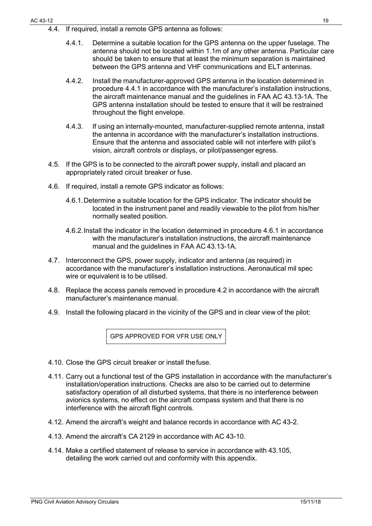- 4.4. If required, install a remote GPS antenna as follows:
	- 4.4.1. Determine a suitable location for the GPS antenna on the upper fuselage. The antenna should not be located within 1.1m of any other antenna. Particular care should be taken to ensure that at least the minimum separation is maintained between the GPS antenna and VHF communications and ELT antennas.
	- 4.4.2. Install the manufacturer-approved GPS antenna in the location determined in procedure 4.4.1 in accordance with the manufacturer's installation instructions, the aircraft maintenance manual and the guidelines in FAA AC 43.13-1A. The GPS antenna installation should be tested to ensure that it will be restrained throughout the flight envelope.
	- 4.4.3. If using an internally-mounted, manufacturer-supplied remote antenna, install the antenna in accordance with the manufacturer's installation instructions. Ensure that the antenna and associated cable will not interfere with pilot's vision, aircraft controls or displays, or pilot/passenger egress.
- 4.5. If the GPS is to be connected to the aircraft power supply, install and placard an appropriately rated circuit breaker or fuse.
- 4.6. If required, install a remote GPS indicator as follows:
	- 4.6.1.Determine a suitable location for the GPS indicator. The indicator should be located in the instrument panel and readily viewable to the pilot from his/her normally seated position.
	- 4.6.2.Install the indicator in the location determined in procedure 4.6.1 in accordance with the manufacturer's installation instructions, the aircraft maintenance manual and the guidelines in FAA AC 43.13-1A.
- 4.7. Interconnect the GPS, power supply, indicator and antenna (as required) in accordance with the manufacturer's installation instructions. Aeronautical mil spec wire or equivalent is to be utilised.
- 4.8. Replace the access panels removed in procedure 4.2 in accordance with the aircraft manufacturer's maintenance manual.
- 4.9. Install the following placard in the vicinity of the GPS and in clear view of the pilot:

GPS APPROVED FOR VFR USE ONLY

- 4.10. Close the GPS circuit breaker or install thefuse.
- 4.11. Carry out a functional test of the GPS installation in accordance with the manufacturer's installation/operation instructions. Checks are also to be carried out to determine satisfactory operation of all disturbed systems, that there is no interference between avionics systems, no effect on the aircraft compass system and that there is no interference with the aircraft flight controls.
- 4.12. Amend the aircraft's weight and balance records in accordance with AC 43-2.
- 4.13. Amend the aircraft's CA 2129 in accordance with AC 43-10.
- 4.14. Make a certified statement of release to service in accordance with 43.105, detailing the work carried out and conformity with this appendix.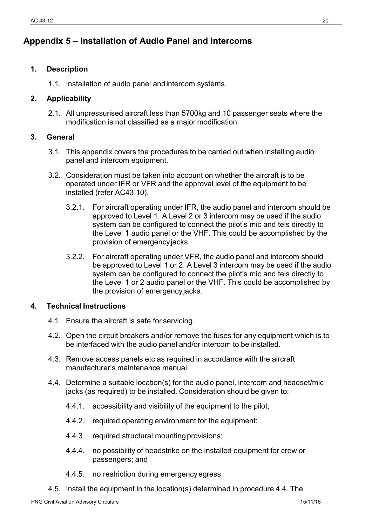# <span id="page-20-0"></span>**Appendix 5 – Installation of Audio Panel and Intercoms**

### **1. Description**

1.1. Installation of audio panel andintercom systems.

### **2. Applicability**

2.1. All unpressurised aircraft less than 5700kg and 10 passenger seats where the modification is not classified as a major modification.

### **3. General**

- 3.1. This appendix covers the procedures to be carried out when installing audio panel and intercom equipment.
- 3.2. Consideration must be taken into account on whether the aircraft is to be operated under IFR or VFR and the approval level of the equipment to be installed (refer AC43.10).
	- 3.2.1. For aircraft operating under IFR, the audio panel and intercom should be approved to Level 1. A Level 2 or 3 intercom may be used if the audio system can be configured to connect the pilot's mic and tels directly to the Level 1 audio panel or the VHF. This could be accomplished by the provision of emergencyjacks.
	- 3.2.2. For aircraft operating under VFR, the audio panel and intercom should be approved to Level 1 or 2. A Level 3 intercom may be used if the audio system can be configured to connect the pilot's mic and tels directly to the Level 1 or 2 audio panel or the VHF. This could be accomplished by the provision of emergencyjacks.

- 4.1. Ensure the aircraft is safe for servicing.
- 4.2. Open the circuit breakers and/or remove the fuses for any equipment which is to be interfaced with the audio panel and/or intercom to be installed.
- 4.3. Remove access panels etc as required in accordance with the aircraft manufacturer's maintenance manual.
- 4.4. Determine a suitable location(s) for the audio panel, intercom and headset/mic jacks (as required) to be installed. Consideration should be given to:
	- 4.4.1. accessibility and visibility of the equipment to the pilot;
	- 4.4.2. required operating environment for the equipment;
	- 4.4.3. required structural mountingprovisions;
	- 4.4.4. no possibility of headstrike on the installed equipment for crew or passengers; and
	- 4.4.5. no restriction during emergencyegress.
- 4.5. Install the equipment in the location(s) determined in procedure 4.4. The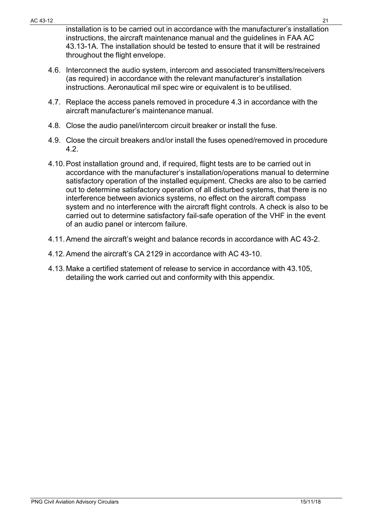installation is to be carried out in accordance with the manufacturer's installation instructions, the aircraft maintenance manual and the guidelines in FAA AC 43.13-1A. The installation should be tested to ensure that it will be restrained throughout the flight envelope.

- 4.6. Interconnect the audio system, intercom and associated transmitters/receivers (as required) in accordance with the relevant manufacturer's installation instructions. Aeronautical mil spec wire or equivalent is to be utilised.
- 4.7. Replace the access panels removed in procedure 4.3 in accordance with the aircraft manufacturer's maintenance manual.
- 4.8. Close the audio panel/intercom circuit breaker or install the fuse.
- 4.9. Close the circuit breakers and/or install the fuses opened/removed in procedure 4.2.
- 4.10.Post installation ground and, if required, flight tests are to be carried out in accordance with the manufacturer's installation/operations manual to determine satisfactory operation of the installed equipment. Checks are also to be carried out to determine satisfactory operation of all disturbed systems, that there is no interference between avionics systems, no effect on the aircraft compass system and no interference with the aircraft flight controls. A check is also to be carried out to determine satisfactory fail-safe operation of the VHF in the event of an audio panel or intercom failure.
- 4.11.Amend the aircraft's weight and balance records in accordance with AC 43-2.
- 4.12.Amend the aircraft's CA 2129 in accordance with AC 43-10.
- 4.13.Make a certified statement of release to service in accordance with 43.105, detailing the work carried out and conformity with this appendix.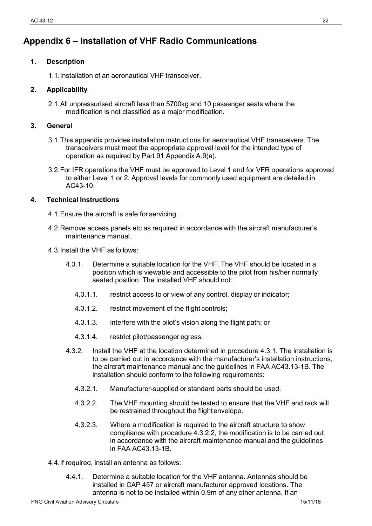# <span id="page-22-0"></span>**Appendix 6 – Installation of VHF Radio Communications**

#### **1. Description**

1.1.Installation of an aeronautical VHF transceiver.

#### **2. Applicability**

2.1.All unpressurised aircraft less than 5700kg and 10 passenger seats where the modification is not classified as a major modification.

#### **3. General**

- 3.1.This appendix provides installation instructions for aeronautical VHF transceivers. The transceivers must meet the appropriate approval level for the intended type of operation as required by Part 91 Appendix A.9(a).
- 3.2.For IFR operations the VHF must be approved to Level 1 and for VFR operations approved to either Level 1 or 2. Approval levels for commonly used equipment are detailed in AC43-10.

- 4.1.Ensure the aircraft is safe for servicing.
- 4.2.Remove access panels etc as required in accordance with the aircraft manufacturer's maintenance manual.
- 4.3.Install the VHF as follows:
	- 4.3.1. Determine a suitable location for the VHF. The VHF should be located in a position which is viewable and accessible to the pilot from his/her normally seated position. The installed VHF should not:
		- 4.3.1.1. restrict access to or view of any control, display or indicator;
		- 4.3.1.2. restrict movement of the flight controls;
		- 4.3.1.3. interfere with the pilot's vision along the flight path; or
		- 4.3.1.4. restrict pilot/passenger egress.
	- 4.3.2. Install the VHF at the location determined in procedure 4.3.1. The installation is to be carried out in accordance with the manufacturer's installation instructions, the aircraft maintenance manual and the guidelines in FAA AC43.13-1B. The installation should conform to the following requirements:
		- 4.3.2.1. Manufacturer-supplied or standard parts should be used.
		- 4.3.2.2. The VHF mounting should be tested to ensure that the VHF and rack will be restrained throughout the flightenvelope.
		- 4.3.2.3. Where a modification is required to the aircraft structure to show compliance with procedure 4.3.2.2, the modification is to be carried out in accordance with the aircraft maintenance manual and the guidelines in FAA AC43.13-1B.
- 4.4.If required, install an antenna as follows:
	- 4.4.1. Determine a suitable location for the VHF antenna. Antennas should be installed in CAP 457 or aircraft manufacturer approved locations. The antenna is not to be installed within 0.9m of any other antenna. If an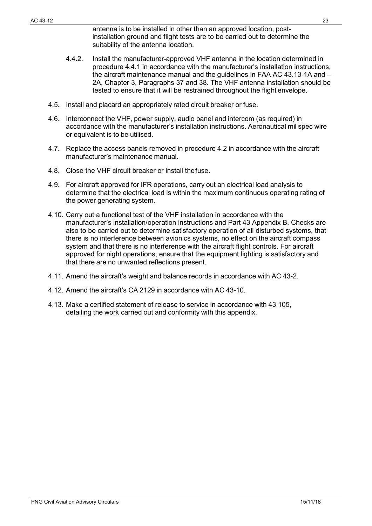antenna is to be installed in other than an approved location, postinstallation ground and flight tests are to be carried out to determine the suitability of the antenna location.

- 4.4.2. Install the manufacturer-approved VHF antenna in the location determined in procedure 4.4.1 in accordance with the manufacturer's installation instructions, the aircraft maintenance manual and the guidelines in FAA AC 43.13-1A and – 2A, Chapter 3, Paragraphs 37 and 38. The VHF antenna installation should be tested to ensure that it will be restrained throughout the flight envelope.
- 4.5. Install and placard an appropriately rated circuit breaker or fuse.
- 4.6. Interconnect the VHF, power supply, audio panel and intercom (as required) in accordance with the manufacturer's installation instructions. Aeronautical mil spec wire or equivalent is to be utilised.
- 4.7. Replace the access panels removed in procedure 4.2 in accordance with the aircraft manufacturer's maintenance manual.
- 4.8. Close the VHF circuit breaker or install thefuse.
- 4.9. For aircraft approved for IFR operations, carry out an electrical load analysis to determine that the electrical load is within the maximum continuous operating rating of the power generating system.
- 4.10. Carry out a functional test of the VHF installation in accordance with the manufacturer's installation/operation instructions and Part 43 Appendix B. Checks are also to be carried out to determine satisfactory operation of all disturbed systems, that there is no interference between avionics systems, no effect on the aircraft compass system and that there is no interference with the aircraft flight controls. For aircraft approved for night operations, ensure that the equipment lighting is satisfactory and that there are no unwanted reflections present.
- 4.11. Amend the aircraft's weight and balance records in accordance with AC 43-2.
- 4.12. Amend the aircraft's CA 2129 in accordance with AC 43-10.
- 4.13. Make a certified statement of release to service in accordance with 43.105, detailing the work carried out and conformity with this appendix.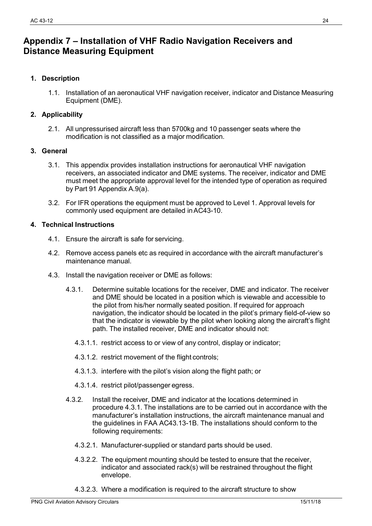# <span id="page-24-0"></span>**Appendix 7 – Installation of VHF Radio Navigation Receivers and Distance Measuring Equipment**

#### **1. Description**

1.1. Installation of an aeronautical VHF navigation receiver, indicator and Distance Measuring Equipment (DME).

#### **2. Applicability**

2.1. All unpressurised aircraft less than 5700kg and 10 passenger seats where the modification is not classified as a major modification.

#### **3. General**

- 3.1. This appendix provides installation instructions for aeronautical VHF navigation receivers, an associated indicator and DME systems. The receiver, indicator and DME must meet the appropriate approval level for the intended type of operation as required by Part 91 Appendix A.9(a).
- 3.2. For IFR operations the equipment must be approved to Level 1. Approval levels for commonly used equipment are detailed inAC43-10.

- 4.1. Ensure the aircraft is safe for servicing.
- 4.2. Remove access panels etc as required in accordance with the aircraft manufacturer's maintenance manual.
- 4.3. Install the navigation receiver or DME as follows:
	- 4.3.1. Determine suitable locations for the receiver, DME and indicator. The receiver and DME should be located in a position which is viewable and accessible to the pilot from his/her normally seated position. If required for approach navigation, the indicator should be located in the pilot's primary field-of-view so that the indicator is viewable by the pilot when looking along the aircraft's flight path. The installed receiver, DME and indicator should not:
		- 4.3.1.1. restrict access to or view of any control, display or indicator;
		- 4.3.1.2. restrict movement of the flight controls;
		- 4.3.1.3. interfere with the pilot's vision along the flight path; or
		- 4.3.1.4. restrict pilot/passenger egress.
	- 4.3.2. Install the receiver, DME and indicator at the locations determined in procedure 4.3.1. The installations are to be carried out in accordance with the manufacturer's installation instructions, the aircraft maintenance manual and the guidelines in FAA AC43.13-1B. The installations should conform to the following requirements:
		- 4.3.2.1. Manufacturer-supplied or standard parts should be used.
		- 4.3.2.2. The equipment mounting should be tested to ensure that the receiver, indicator and associated rack(s) will be restrained throughout the flight envelope.
		- 4.3.2.3. Where a modification is required to the aircraft structure to show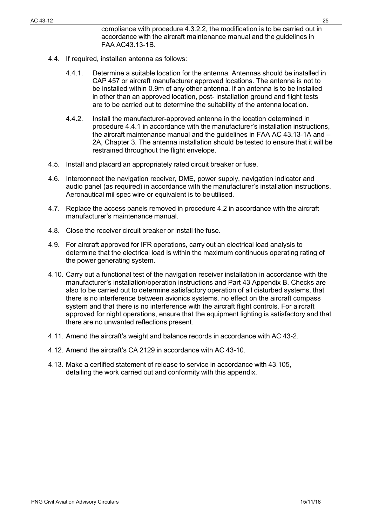- 4.4. If required, installan antenna as follows:
	- 4.4.1. Determine a suitable location for the antenna. Antennas should be installed in CAP 457 or aircraft manufacturer approved locations. The antenna is not to be installed within 0.9m of any other antenna. If an antenna is to be installed in other than an approved location, post- installation ground and flight tests are to be carried out to determine the suitability of the antenna location.
	- 4.4.2. Install the manufacturer-approved antenna in the location determined in procedure 4.4.1 in accordance with the manufacturer's installation instructions, the aircraft maintenance manual and the guidelines in FAA AC 43.13-1A and – 2A, Chapter 3. The antenna installation should be tested to ensure that it will be restrained throughout the flight envelope.
- 4.5. Install and placard an appropriately rated circuit breaker or fuse.
- 4.6. Interconnect the navigation receiver, DME, power supply, navigation indicator and audio panel (as required) in accordance with the manufacturer's installation instructions. Aeronautical mil spec wire or equivalent is to be utilised.
- 4.7. Replace the access panels removed in procedure 4.2 in accordance with the aircraft manufacturer's maintenance manual.
- 4.8. Close the receiver circuit breaker or install the fuse.
- 4.9. For aircraft approved for IFR operations, carry out an electrical load analysis to determine that the electrical load is within the maximum continuous operating rating of the power generating system.
- 4.10. Carry out a functional test of the navigation receiver installation in accordance with the manufacturer's installation/operation instructions and Part 43 Appendix B. Checks are also to be carried out to determine satisfactory operation of all disturbed systems, that there is no interference between avionics systems, no effect on the aircraft compass system and that there is no interference with the aircraft flight controls. For aircraft approved for night operations, ensure that the equipment lighting is satisfactory and that there are no unwanted reflections present.
- 4.11. Amend the aircraft's weight and balance records in accordance with AC 43-2.
- 4.12. Amend the aircraft's CA 2129 in accordance with AC 43-10.
- 4.13. Make a certified statement of release to service in accordance with 43.105, detailing the work carried out and conformity with this appendix.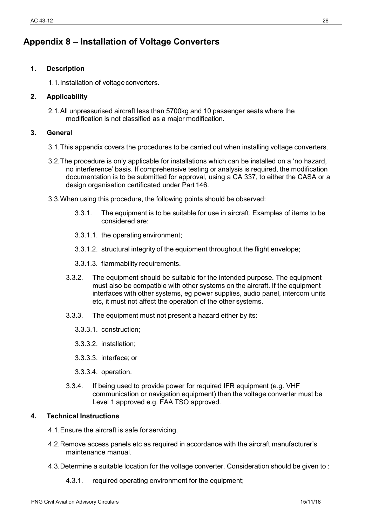# <span id="page-26-0"></span>**Appendix 8 – Installation of Voltage Converters**

#### **1. Description**

1.1.Installation of voltageconverters.

#### **2. Applicability**

2.1.All unpressurised aircraft less than 5700kg and 10 passenger seats where the modification is not classified as a major modification.

#### **3. General**

- 3.1.This appendix covers the procedures to be carried out when installing voltage converters.
- 3.2.The procedure is only applicable for installations which can be installed on a 'no hazard, no interference' basis. If comprehensive testing or analysis is required, the modification documentation is to be submitted for approval, using a CA 337, to either the CASA or a design organisation certificated under Part 146.
- 3.3.When using this procedure, the following points should be observed:
	- 3.3.1. The equipment is to be suitable for use in aircraft. Examples of items to be considered are:
	- 3.3.1.1. the operating environment;
	- 3.3.1.2. structural integrity of the equipment throughout the flight envelope;
	- 3.3.1.3. flammability requirements.
	- 3.3.2. The equipment should be suitable for the intended purpose. The equipment must also be compatible with other systems on the aircraft. If the equipment interfaces with other systems, eg power supplies, audio panel, intercom units etc, it must not affect the operation of the other systems.
	- 3.3.3. The equipment must not present a hazard either by its:
		- 3.3.3.1. construction;
		- 3.3.3.2. installation;
		- 3.3.3.3. interface; or
		- 3.3.3.4. operation.
	- 3.3.4. If being used to provide power for required IFR equipment (e.g. VHF communication or navigation equipment) then the voltage converter must be Level 1 approved e.g. FAA TSO approved.

- 4.1.Ensure the aircraft is safe for servicing.
- 4.2.Remove access panels etc as required in accordance with the aircraft manufacturer's maintenance manual.
- 4.3.Determine a suitable location for the voltage converter. Consideration should be given to :
	- 4.3.1. required operating environment for the equipment;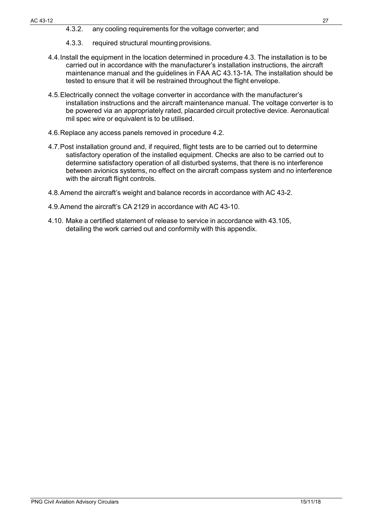#### AC 43-12 27

- 4.3.2. any cooling requirements for the voltage converter; and
- 4.3.3. required structural mounting provisions.
- 4.4.Install the equipment in the location determined in procedure 4.3. The installation is to be carried out in accordance with the manufacturer's installation instructions, the aircraft maintenance manual and the guidelines in FAA AC 43.13-1A. The installation should be tested to ensure that it will be restrained throughout the flight envelope.
- 4.5.Electrically connect the voltage converter in accordance with the manufacturer's installation instructions and the aircraft maintenance manual. The voltage converter is to be powered via an appropriately rated, placarded circuit protective device. Aeronautical mil spec wire or equivalent is to be utilised.
- 4.6.Replace any access panels removed in procedure 4.2.
- 4.7.Post installation ground and, if required, flight tests are to be carried out to determine satisfactory operation of the installed equipment. Checks are also to be carried out to determine satisfactory operation of all disturbed systems, that there is no interference between avionics systems, no effect on the aircraft compass system and no interference with the aircraft flight controls.
- 4.8.Amend the aircraft's weight and balance records in accordance with AC 43-2.
- 4.9.Amend the aircraft's CA 2129 in accordance with AC 43-10.
- 4.10. Make a certified statement of release to service in accordance with 43.105, detailing the work carried out and conformity with this appendix.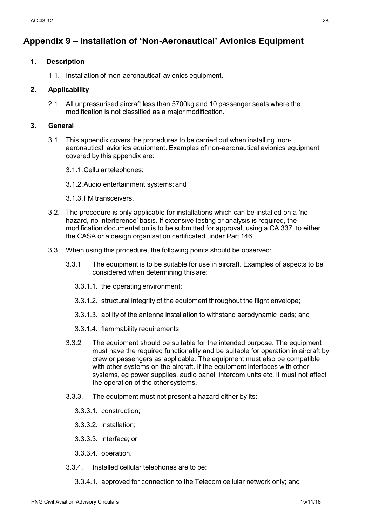# <span id="page-28-0"></span>**Appendix 9 – Installation of 'Non-Aeronautical' Avionics Equipment**

#### **1. Description**

1.1. Installation of 'non-aeronautical' avionics equipment.

#### **2. Applicability**

2.1. All unpressurised aircraft less than 5700kg and 10 passenger seats where the modification is not classified as a major modification.

#### **3. General**

- 3.1. This appendix covers the procedures to be carried out when installing 'nonaeronautical' avionics equipment. Examples of non-aeronautical avionics equipment covered by this appendix are:
	- 3.1.1.Cellular telephones;
	- 3.1.2.Audio entertainment systems; and
	- 3.1.3.FM transceivers.
- 3.2. The procedure is only applicable for installations which can be installed on a 'no hazard, no interference' basis. If extensive testing or analysis is required, the modification documentation is to be submitted for approval, using a CA 337, to either the CASA or a design organisation certificated under Part 146.
- 3.3. When using this procedure, the following points should be observed:
	- 3.3.1. The equipment is to be suitable for use in aircraft. Examples of aspects to be considered when determining this are:
		- 3.3.1.1. the operating environment;
		- 3.3.1.2. structural integrity of the equipment throughout the flight envelope;
		- 3.3.1.3. ability of the antenna installation to withstand aerodynamic loads; and
		- 3.3.1.4. flammability requirements.
	- 3.3.2. The equipment should be suitable for the intended purpose. The equipment must have the required functionality and be suitable for operation in aircraft by crew or passengers as applicable. The equipment must also be compatible with other systems on the aircraft. If the equipment interfaces with other systems, eg power supplies, audio panel, intercom units etc, it must not affect the operation of the other systems.
	- 3.3.3. The equipment must not present a hazard either by its:
		- 3.3.3.1. construction;
		- 3.3.3.2. installation;
		- 3.3.3.3. interface; or
		- 3.3.3.4. operation.
	- 3.3.4. Installed cellular telephones are to be:
		- 3.3.4.1. approved for connection to the Telecom cellular network only; and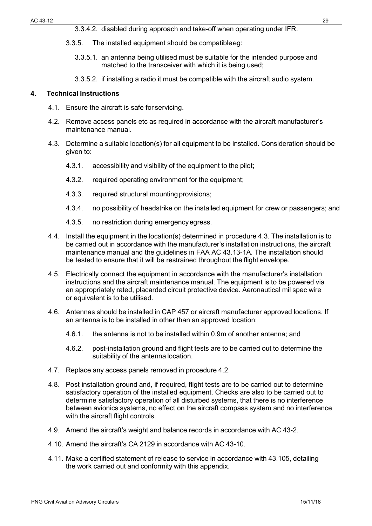- 3.3.5. The installed equipment should be compatibleeg:
	- 3.3.5.1. an antenna being utilised must be suitable for the intended purpose and matched to the transceiver with which it is being used;
	- 3.3.5.2. if installing a radio it must be compatible with the aircraft audio system.

- 4.1. Ensure the aircraft is safe for servicing.
- 4.2. Remove access panels etc as required in accordance with the aircraft manufacturer's maintenance manual.
- 4.3. Determine a suitable location(s) for all equipment to be installed. Consideration should be given to:
	- 4.3.1. accessibility and visibility of the equipment to the pilot;
	- 4.3.2. required operating environment for the equipment:
	- 4.3.3. required structural mounting provisions;
	- 4.3.4. no possibility of headstrike on the installed equipment for crew or passengers; and
	- 4.3.5. no restriction during emergencyegress.
- 4.4. Install the equipment in the location(s) determined in procedure 4.3. The installation is to be carried out in accordance with the manufacturer's installation instructions, the aircraft maintenance manual and the guidelines in FAA AC 43.13-1A. The installation should be tested to ensure that it will be restrained throughout the flight envelope.
- 4.5. Electrically connect the equipment in accordance with the manufacturer's installation instructions and the aircraft maintenance manual. The equipment is to be powered via an appropriately rated, placarded circuit protective device. Aeronautical mil spec wire or equivalent is to be utilised.
- 4.6. Antennas should be installed in CAP 457 or aircraft manufacturer approved locations. If an antenna is to be installed in other than an approved location:
	- 4.6.1. the antenna is not to be installed within 0.9m of another antenna; and
	- 4.6.2. post-installation ground and flight tests are to be carried out to determine the suitability of the antenna location.
- 4.7. Replace any access panels removed in procedure 4.2.
- 4.8. Post installation ground and, if required, flight tests are to be carried out to determine satisfactory operation of the installed equipment. Checks are also to be carried out to determine satisfactory operation of all disturbed systems, that there is no interference between avionics systems, no effect on the aircraft compass system and no interference with the aircraft flight controls.
- 4.9. Amend the aircraft's weight and balance records in accordance with AC 43-2.
- 4.10. Amend the aircraft's CA 2129 in accordance with AC 43-10.
- 4.11. Make a certified statement of release to service in accordance with 43.105, detailing the work carried out and conformity with this appendix.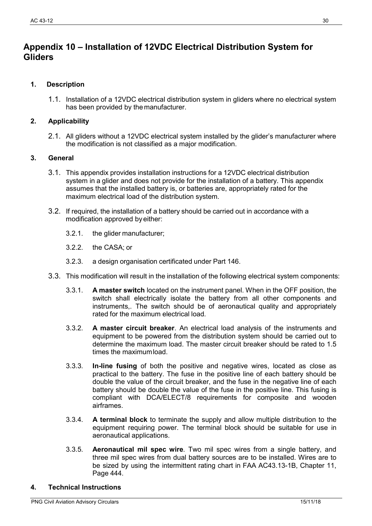## <span id="page-30-0"></span>**Appendix 10 – Installation of 12VDC Electrical Distribution System for Gliders**

#### **1. Description**

1.1. Installation of a 12VDC electrical distribution system in gliders where no electrical system has been provided by the manufacturer.

#### **2. Applicability**

2.1. All gliders without a 12VDC electrical system installed by the glider's manufacturer where the modification is not classified as a major modification.

#### **3. General**

- 3.1. This appendix provides installation instructions for a 12VDC electrical distribution system in a glider and does not provide for the installation of a battery. This appendix assumes that the installed battery is, or batteries are, appropriately rated for the maximum electrical load of the distribution system.
- 3.2. If required, the installation of a battery should be carried out in accordance with a modification approved by either:
	- 3.2.1. the glider manufacturer;
	- 3.2.2. the CASA; or
	- 3.2.3. a design organisation certificated under Part 146.
- 3.3. This modification will result in the installation of the following electrical system components:
	- 3.3.1. **A master switch** located on the instrument panel. When in the OFF position, the switch shall electrically isolate the battery from all other components and instruments,. The switch should be of aeronautical quality and appropriately rated for the maximum electrical load.
	- 3.3.2. **A master circuit breaker**. An electrical load analysis of the instruments and equipment to be powered from the distribution system should be carried out to determine the maximum load. The master circuit breaker should be rated to 1.5 times the maximumload.
	- 3.3.3. **In-line fusing** of both the positive and negative wires, located as close as practical to the battery. The fuse in the positive line of each battery should be double the value of the circuit breaker, and the fuse in the negative line of each battery should be double the value of the fuse in the positive line. This fusing is compliant with DCA/ELECT/8 requirements for composite and wooden airframes.
	- 3.3.4. **A terminal block** to terminate the supply and allow multiple distribution to the equipment requiring power. The terminal block should be suitable for use in aeronautical applications.
	- 3.3.5. **Aeronautical mil spec wire**. Two mil spec wires from a single battery, and three mil spec wires from dual battery sources are to be installed. Wires are to be sized by using the intermittent rating chart in FAA AC43.13-1B, Chapter 11, Page 444.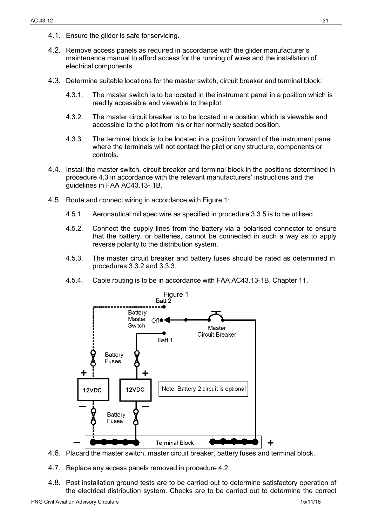- 4.1. Ensure the glider is safe for servicing.
- 4.2. Remove access panels as required in accordance with the glider manufacturer's maintenance manual to afford access for the running of wires and the installation of electrical components.
- 4.3. Determine suitable locations for the master switch, circuit breaker and terminal block:
	- 4.3.1. The master switch is to be located in the instrument panel in a position which is readily accessible and viewable to thepilot.
	- 4.3.2. The master circuit breaker is to be located in a position which is viewable and accessible to the pilot from his or her normally seated position.
	- 4.3.3. The terminal block is to be located in a position forward of the instrument panel where the terminals will not contact the pilot or any structure, components or controls.
- 4.4. Install the master switch, circuit breaker and terminal block in the positions determined in procedure 4.3 in accordance with the relevant manufacturers' instructions and the guidelines in FAA AC43.13- 1B.
- 4.5. Route and connect wiring in accordance with Figure 1:
	- 4.5.1. Aeronautical mil spec wire as specified in procedure 3.3.5 is to be utilised.
	- 4.5.2. Connect the supply lines from the battery via a polarised connector to ensure that the battery, or batteries, cannot be connected in such a way as to apply reverse polarity to the distribution system.
	- 4.5.3. The master circuit breaker and battery fuses should be rated as determined in procedures 3.3.2 and 3.3.3.
	- 4.5.4. Cable routing is to be in accordance with FAA AC43.13-1B, Chapter 11.



- 4.6. Placard the master switch, master circuit breaker, battery fuses and terminal block.
- 4.7. Replace any access panels removed in procedure 4.2.
- 4.8. Post installation ground tests are to be carried out to determine satisfactory operation of the electrical distribution system. Checks are to be carried out to determine the correct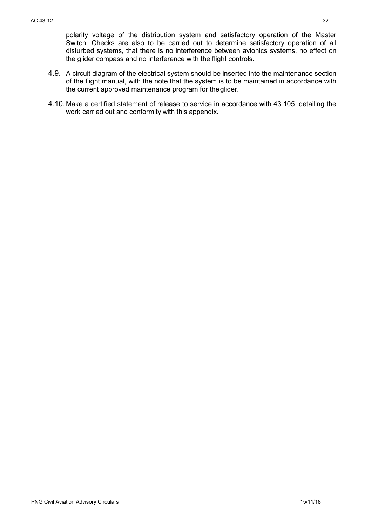polarity voltage of the distribution system and satisfactory operation of the Master Switch. Checks are also to be carried out to determine satisfactory operation of all disturbed systems, that there is no interference between avionics systems, no effect on the glider compass and no interference with the flight controls.

- 4.9. A circuit diagram of the electrical system should be inserted into the maintenance section of the flight manual, with the note that the system is to be maintained in accordance with the current approved maintenance program for theglider.
- 4.10. Make a certified statement of release to service in accordance with 43.105, detailing the work carried out and conformity with this appendix.